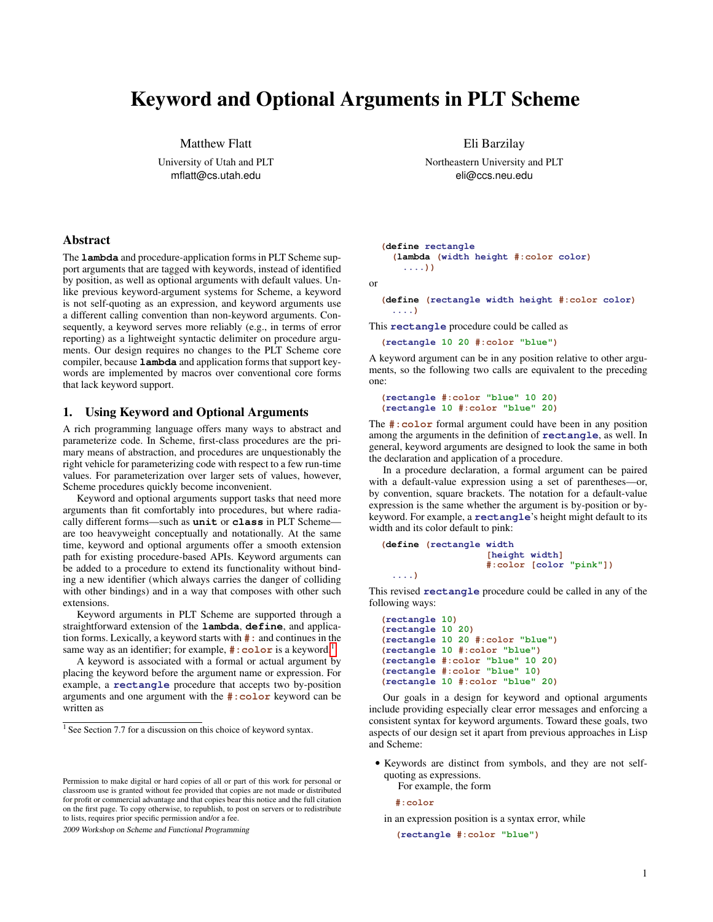# Keyword and Optional Arguments in PLT Scheme

or

Matthew Flatt

University of Utah and PLT mflatt@cs.utah.edu

# Abstract

The **lambda** and procedure-application forms in PLT Scheme support arguments that are tagged with keywords, instead of identified by position, as well as optional arguments with default values. Unlike previous keyword-argument systems for Scheme, a keyword is not self-quoting as an expression, and keyword arguments use a different calling convention than non-keyword arguments. Consequently, a keyword serves more reliably (e.g., in terms of error reporting) as a lightweight syntactic delimiter on procedure arguments. Our design requires no changes to the PLT Scheme core compiler, because **lambda** and application forms that support keywords are implemented by macros over conventional core forms that lack keyword support.

## 1. Using Keyword and Optional Arguments

A rich programming language offers many ways to abstract and parameterize code. In Scheme, first-class procedures are the primary means of abstraction, and procedures are unquestionably the right vehicle for parameterizing code with respect to a few run-time values. For parameterization over larger sets of values, however, Scheme procedures quickly become inconvenient.

Keyword and optional arguments support tasks that need more arguments than fit comfortably into procedures, but where radiacally different forms—such as **unit** or **class** in PLT Scheme are too heavyweight conceptually and notationally. At the same time, keyword and optional arguments offer a smooth extension path for existing procedure-based APIs. Keyword arguments can be added to a procedure to extend its functionality without binding a new identifier (which always carries the danger of colliding with other bindings) and in a way that composes with other such extensions.

Keyword arguments in PLT Scheme are supported through a straightforward extension of the **lambda**, **define**, and application forms. Lexically, a keyword starts with **#:** and continues in the same way as an identifier; for example,  $\# : \text{color is a keyword.}$ <sup>[1](#page-0-0)</sup>

A keyword is associated with a formal or actual argument by placing the keyword before the argument name or expression. For example, a **rectangle** procedure that accepts two by-position arguments and one argument with the **#:color** keyword can be written as

2009 Workshop on Scheme and Functional Programming

**(define rectangle (lambda (width height #:color color) ....))**

Eli Barzilay Northeastern University and PLT eli@ccs.neu.edu

**(define (rectangle width height #:color color) ....)**

This **rectangle** procedure could be called as

```
(rectangle 10 20 #:color "blue")
```
A keyword argument can be in any position relative to other arguments, so the following two calls are equivalent to the preceding one:

```
(rectangle #:color "blue" 10 20)
(rectangle 10 #:color "blue" 20)
```
The **#:color** formal argument could have been in any position among the arguments in the definition of **rectangle**, as well. In general, keyword arguments are designed to look the same in both the declaration and application of a procedure.

In a procedure declaration, a formal argument can be paired with a default-value expression using a set of parentheses—or, by convention, square brackets. The notation for a default-value expression is the same whether the argument is by-position or bykeyword. For example, a **rectangle**'s height might default to its width and its color default to pink:

```
(define (rectangle width
                   [height width]
                   #:color [color "pink"])
 ....)
```
This revised **rectangle** procedure could be called in any of the following ways:

```
(rectangle 10)
(rectangle 10 20)
(rectangle 10 20 #:color "blue")
(rectangle 10 #:color "blue")
(rectangle #:color "blue" 10 20)
(rectangle #:color "blue" 10)
(rectangle 10 #:color "blue" 20)
```
Our goals in a design for keyword and optional arguments include providing especially clear error messages and enforcing a consistent syntax for keyword arguments. Toward these goals, two aspects of our design set it apart from previous approaches in Lisp and Scheme:

• Keywords are distinct from symbols, and they are not selfquoting as expressions.

For example, the form

**#:color**

in an expression position is a syntax error, while

```
(rectangle #:color "blue")
```
<span id="page-0-0"></span><sup>&</sup>lt;sup>1</sup> See Section 7.7 for a discussion on this choice of keyword syntax.

Permission to make digital or hard copies of all or part of this work for personal or classroom use is granted without fee provided that copies are not made or distributed for profit or commercial advantage and that copies bear this notice and the full citation on the first page. To copy otherwise, to republish, to post on servers or to redistribute to lists, requires prior specific permission and/or a fee.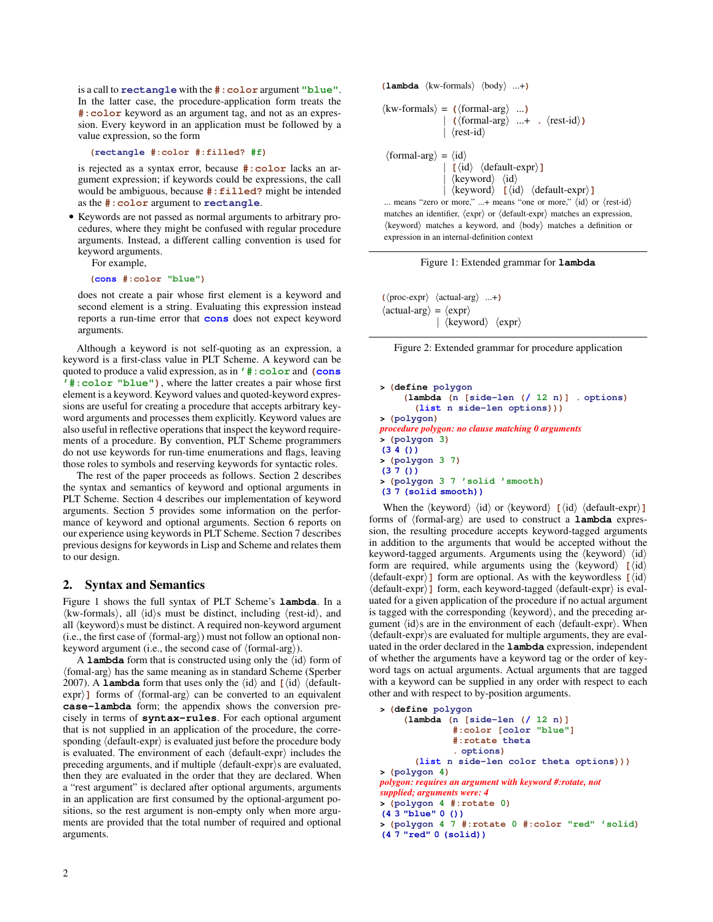is a call to **rectangle** with the **#:color** argument **"blue"**. In the latter case, the procedure-application form treats the #: color keyword as an argument tag, and not as an expression. Every keyword in an application must be followed by a value expression, so the form

**(rectangle #:color #:filled? #f)**

is rejected as a syntax error, because **#:color** lacks an argument expression; if keywords could be expressions, the call would be ambiguous, because **#:filled?** might be intended as the **#:color** argument to **rectangle**.

• Keywords are not passed as normal arguments to arbitrary procedures, where they might be confused with regular procedure arguments. Instead, a different calling convention is used for keyword arguments.

For example,

**(cons #:color "blue")**

does not create a pair whose first element is a keyword and second element is a string. Evaluating this expression instead reports a run-time error that **cons** does not expect keyword arguments.

Although a keyword is not self-quoting as an expression, a keyword is a first-class value in PLT Scheme. A keyword can be quoted to produce a valid expression, as in **'#:color** and **(cons '#:color "blue")**, where the latter creates a pair whose first element is a keyword. Keyword values and quoted-keyword expressions are useful for creating a procedure that accepts arbitrary keyword arguments and processes them explicitly. Keyword values are also useful in reflective operations that inspect the keyword requirements of a procedure. By convention, PLT Scheme programmers do not use keywords for run-time enumerations and flags, leaving those roles to symbols and reserving keywords for syntactic roles.

The rest of the paper proceeds as follows. Section 2 describes the syntax and semantics of keyword and optional arguments in PLT Scheme. Section 4 describes our implementation of keyword arguments. Section 5 provides some information on the performance of keyword and optional arguments. Section 6 reports on our experience using keywords in PLT Scheme. Section 7 describes previous designs for keywords in Lisp and Scheme and relates them to our design.

### 2. Syntax and Semantics

Figure 1 shows the full syntax of PLT Scheme's **lambda**. In a  $\langle$ kw-formals $\rangle$ , all  $\langle$ id $\rangle$ s must be distinct, including  $\langle$ rest-id $\rangle$ , and all  $\langle$ keyword $\rangle$ s must be distinct. A required non-keyword argument (i.e., the first case of  $\langle$  formal-arg $\rangle$ ) must not follow an optional nonkeyword argument (i.e., the second case of  $\langle$  formal-arg $\rangle$ ).

A **lambda** form that is constructed using only the  $\langle id \rangle$  form of  $\langle$  fomal-arg $\rangle$  has the same meaning as in standard Scheme (Sperber 2007). A **lambda** form that uses only the  $\langle id \rangle$  and  $\langle \langle id \rangle$   $\langle \langle \text{default} \rangle$  $\exp\left[\frac{\pi}{2}\right]$  forms of  $\langle$  formal-arg $\rangle$  can be converted to an equivalent **case-lambda** form; the appendix shows the conversion precisely in terms of **syntax-rules**. For each optional argument that is not supplied in an application of the procedure, the corresponding  $\langle$  default-expr $\rangle$  is evaluated just before the procedure body is evaluated. The environment of each  $\langle$  default-expr $\rangle$  includes the preceding arguments, and if multiple  $\langle$  default-expr $\rangle$ s are evaluated, then they are evaluated in the order that they are declared. When a "rest argument" is declared after optional arguments, arguments in an application are first consumed by the optional-argument positions, so the rest argument is non-empty only when more arguments are provided that the total number of required and optional arguments.

```
\langlelambda \langlekw-formals\rangle \langlebody\rangle ...+)
\langlekw-formals\rangle = (\langle formal-arg\rangle ...
                             \langle \text{formal-arg} \rangle ...+ . \langle \text{rest-id} \rangle\langle rest-id\rangle\langle formal-arg\rangle = \langleid\rangle\langleid\rangle \langle default-expr\rangle]
                             \langlekeyword\rangle \langleid\rangle\langlekeyword\rangle [\langleid\rangle \langle default-expr\rangle]
... means "zero or more," ...+ means "one or more," \langle id \rangle or \langle rest-id \ranglematches an identifier, \langle \exp \rangle or \langle default-expr\rangle matches an expression,
\langlekeyword\rangle matches a keyword, and \langlebody\rangle matches a definition or
```


 $(\langle \text{proc-expr} \rangle \langle \text{actual-arg} \rangle ...+)$  $\langle$  actual-arg $\rangle = \langle$ expr $\rangle$  $\langle$  keyword $\rangle$   $\langle$  expr $\rangle$ 

expression in an internal-definition context



```
> (define polygon
     (lambda (n [side-len (/ 12 n)] . options)
       (list n side-len options)))
> (polygon)
procedure polygon: no clause matching 0 arguments
> (polygon 3)
(3 4 ())
> (polygon 3 7)
(3 7 ())
> (polygon 3 7 'solid 'smooth)
(3 7 (solid smooth))
```
When the  $\langle$ keyword $\rangle$   $\langle$ id $\rangle$  or  $\langle$ keyword $\rangle$  **[** $\langle$ id $\rangle$   $\langle$  default-expr $\rangle$ **]** forms of  $\langle$  formal-arg $\rangle$  are used to construct a **lambda** expression, the resulting procedure accepts keyword-tagged arguments in addition to the arguments that would be accepted without the keyword-tagged arguments. Arguments using the  $\langle$ keyword $\rangle$   $\langle$ id $\rangle$ form are required, while arguments using the  $\langle$ keyword $\rangle$  **[** $\langle$ id $\rangle$ ]  $\langle$  default-expr $\rangle$ **]** form are optional. As with the keywordless  $\langle$ *id* $\rangle$  $\langle$ default-expr $\rangle$ ] form, each keyword-tagged  $\langle$ default-expr $\rangle$  is evaluated for a given application of the procedure if no actual argument is tagged with the corresponding  $\langle$  keyword $\rangle$ , and the preceding argument  $\langle id \rangle$ s are in the environment of each  $\langle default-expr \rangle$ . When  $\langle$  default-expr $\rangle$ s are evaluated for multiple arguments, they are evaluated in the order declared in the **lambda** expression, independent of whether the arguments have a keyword tag or the order of keyword tags on actual arguments. Actual arguments that are tagged with a keyword can be supplied in any order with respect to each other and with respect to by-position arguments.

```
> (define polygon
    (lambda (n [side-len (/ 12 n)]
               #:color [color "blue"]
               #:rotate theta
               . options)
       (list n side-len color theta options)))
> (polygon 4)
polygon: requires an argument with keyword #:rotate, not
supplied; arguments were: 4
> (polygon 4 #:rotate 0)
(4 3 "blue" 0 ())
> (polygon 4 7 #:rotate 0 #:color "red" 'solid)
(4 7 "red" 0 (solid))
```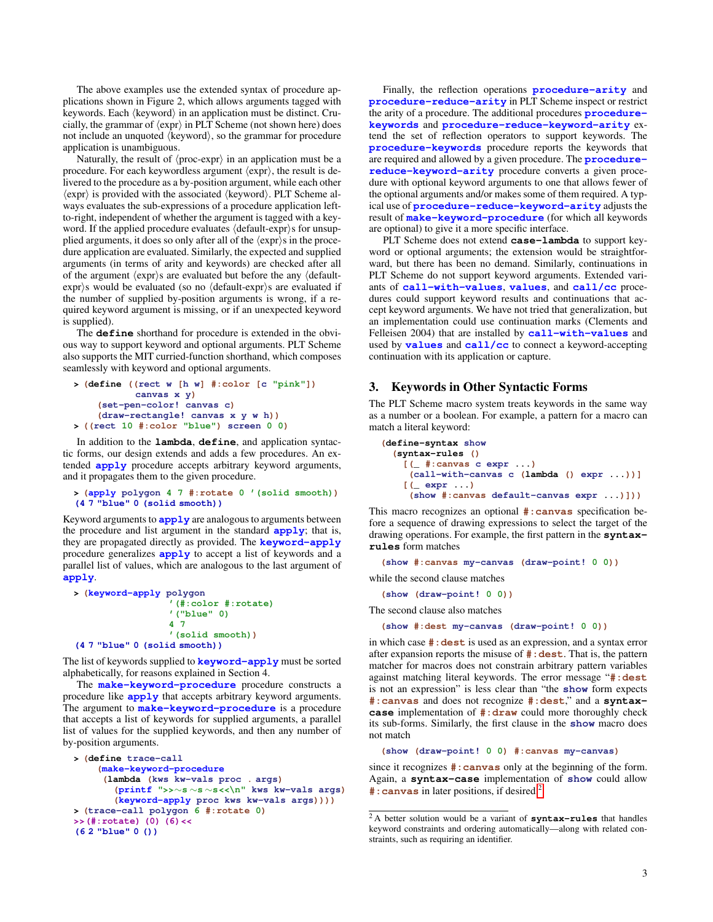The above examples use the extended syntax of procedure applications shown in Figure 2, which allows arguments tagged with keywords. Each  $\langle$ keyword $\rangle$  in an application must be distinct. Crucially, the grammar of  $\langle \exp \rangle$  in PLT Scheme (not shown here) does not include an unquoted  $\langle$ keyword $\rangle$ , so the grammar for procedure application is unambiguous.

Naturally, the result of  $\langle$ proc-expr $\rangle$  in an application must be a procedure. For each keywordless argument  $\langle \exp \rangle$ , the result is delivered to the procedure as a by-position argument, while each other  $\langle \text{expr} \rangle$  is provided with the associated  $\langle \text{keyword} \rangle$ . PLT Scheme always evaluates the sub-expressions of a procedure application leftto-right, independent of whether the argument is tagged with a keyword. If the applied procedure evaluates  $\langle$  default-expr $\rangle$ s for unsupplied arguments, it does so only after all of the  $\langle \text{expr} \rangle$ s in the procedure application are evaluated. Similarly, the expected and supplied arguments (in terms of arity and keywords) are checked after all of the argument  $\langle \exp r \rangle$ s are evaluated but before the any  $\langle$  defaultexpr)s would be evaluated (so no (default-expr)s are evaluated if the number of supplied by-position arguments is wrong, if a required keyword argument is missing, or if an unexpected keyword is supplied).

The **define** shorthand for procedure is extended in the obvious way to support keyword and optional arguments. PLT Scheme also supports the MIT curried-function shorthand, which composes seamlessly with keyword and optional arguments.

```
> (define ((rect w [h w] #:color [c "pink"])
           canvas x y)
    (set-pen-color! canvas c)
    (draw-rectangle! canvas x y w h))
> ((rect 10 #:color "blue") screen 0 0)
```
In addition to the **lambda**, **define**, and application syntactic forms, our design extends and adds a few procedures. An extended **apply** procedure accepts arbitrary keyword arguments, and it propagates them to the given procedure.

```
> (apply polygon 4 7 #:rotate 0 '(solid smooth))
(4 7 "blue" 0 (solid smooth))
```
Keyword arguments to **apply** are analogous to arguments between the procedure and list argument in the standard **apply**; that is, they are propagated directly as provided. The **keyword-apply** procedure generalizes **apply** to accept a list of keywords and a parallel list of values, which are analogous to the last argument of **apply**.

```
> (keyword-apply polygon
                  '(#:color #:rotate)
                  '("blue" 0)
                  4 7
                  '(solid smooth))
(4 7 "blue" 0 (solid smooth))
```
The list of keywords supplied to **keyword-apply** must be sorted alphabetically, for reasons explained in Section 4.

The **make-keyword-procedure** procedure constructs a procedure like **apply** that accepts arbitrary keyword arguments. The argument to **make-keyword-procedure** is a procedure that accepts a list of keywords for supplied arguments, a parallel list of values for the supplied keywords, and then any number of by-position arguments.

```
> (define trace-call
    (make-keyword-procedure
     (lambda (kws kw-vals proc . args)
       (printf ">>∼s ∼s ∼s<<\n" kws kw-vals args)
       (keyword-apply proc kws kw-vals args))))
> (trace-call polygon 6 #:rotate 0)
>>(#:rotate) (0) (6)<<
(6 2 "blue" 0 ())
```
Finally, the reflection operations **procedure-arity** and **procedure-reduce-arity** in PLT Scheme inspect or restrict the arity of a procedure. The additional procedures **procedurekeywords** and **procedure-reduce-keyword-arity** extend the set of reflection operators to support keywords. The **procedure-keywords** procedure reports the keywords that are required and allowed by a given procedure. The **procedurereduce-keyword-arity** procedure converts a given procedure with optional keyword arguments to one that allows fewer of the optional arguments and/or makes some of them required. A typical use of **procedure-reduce-keyword-arity** adjusts the result of **make-keyword-procedure** (for which all keywords are optional) to give it a more specific interface.

PLT Scheme does not extend **case-lambda** to support keyword or optional arguments; the extension would be straightforward, but there has been no demand. Similarly, continuations in PLT Scheme do not support keyword arguments. Extended variants of **call-with-values**, **values**, and **call/cc** procedures could support keyword results and continuations that accept keyword arguments. We have not tried that generalization, but an implementation could use continuation marks (Clements and Felleisen 2004) that are installed by **call-with-values** and used by **values** and **call/cc** to connect a keyword-accepting continuation with its application or capture.

## 3. Keywords in Other Syntactic Forms

The PLT Scheme macro system treats keywords in the same way as a number or a boolean. For example, a pattern for a macro can match a literal keyword:

```
(define-syntax show
 (syntax-rules ()
   [(_ #:canvas c expr ...)
     (call-with-canvas c (lambda () expr ...))]
   [(_ expr ...)
    (show #:canvas default-canvas expr ...)]))
```
This macro recognizes an optional **#:canvas** specification before a sequence of drawing expressions to select the target of the drawing operations. For example, the first pattern in the **syntaxrules** form matches

```
(show #:canvas my-canvas (draw-point! 0 0))
```
while the second clause matches

```
(show (draw-point! 0 0))
```
The second clause also matches

**(show #:dest my-canvas (draw-point! 0 0))**

in which case **#:dest** is used as an expression, and a syntax error after expansion reports the misuse of **#:dest**. That is, the pattern matcher for macros does not constrain arbitrary pattern variables against matching literal keywords. The error message "**#:dest** is not an expression" is less clear than "the **show** form expects **#:canvas** and does not recognize **#:dest**," and a **syntaxcase** implementation of **#:draw** could more thoroughly check its sub-forms. Similarly, the first clause in the **show** macro does not match

```
(show (draw-point! 0 0) #:canvas my-canvas)
```
since it recognizes **#:canvas** only at the beginning of the form. Again, a **syntax-case** implementation of **show** could allow **#**: canvas in later positions, if desired.<sup>[2](#page-2-0)</sup>

<span id="page-2-0"></span><sup>2</sup> A better solution would be a variant of **syntax-rules** that handles keyword constraints and ordering automatically—along with related constraints, such as requiring an identifier.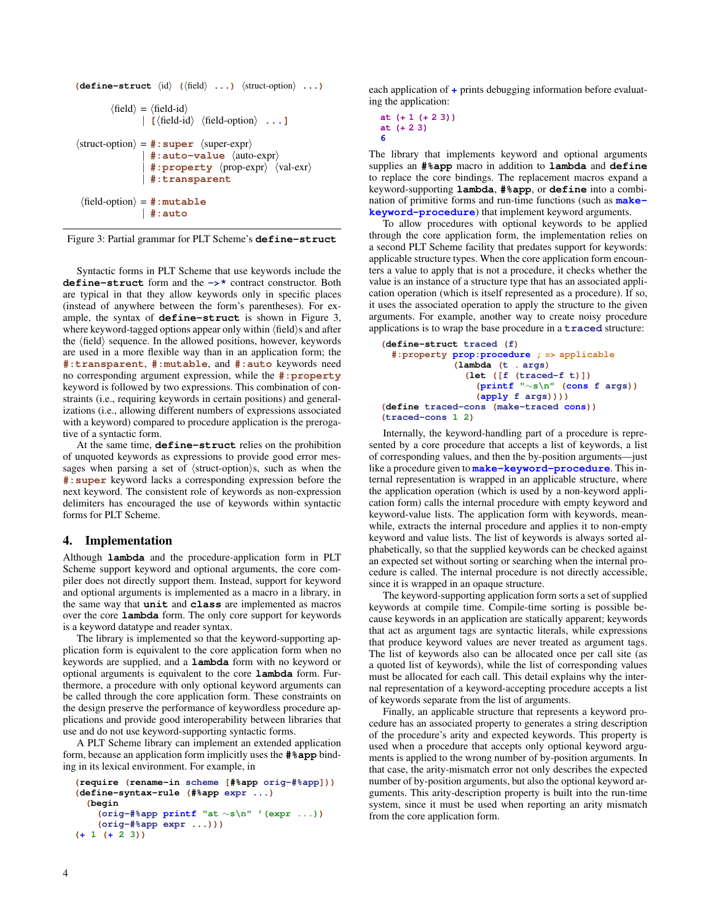```
(define-struct \langle id \rangle (\langle field \rangle ...) \langle struct\text{-}option \rangle ...)
            \langle \text{field} \rangle = \langle \text{field-id} \rangle\int \{ \text{field-id} \} \{ \text{field-option} \} ...]
\langlestruct-option\rangle = \#: super\langlesuper-expr\rangle#: auto-value \langle \text{auto-expr} \rangle#: property \langleprop-expr\rangle \langle val-exr\rangle| #:transparent
 \langlefield-option\rangle = #:mutable
                        | #:auto
```
Figure 3: Partial grammar for PLT Scheme's **define-struct**

Syntactic forms in PLT Scheme that use keywords include the **define-struct** form and the **->\*** contract constructor. Both are typical in that they allow keywords only in specific places (instead of anywhere between the form's parentheses). For example, the syntax of **define-struct** is shown in Figure 3, where keyword-tagged options appear only within  $\langle$  field $\rangle$ s and after the  $\langle$  field $\rangle$  sequence. In the allowed positions, however, keywords are used in a more flexible way than in an application form; the **#:transparent**, **#:mutable**, and **#:auto** keywords need no corresponding argument expression, while the **#:property** keyword is followed by two expressions. This combination of constraints (i.e., requiring keywords in certain positions) and generalizations (i.e., allowing different numbers of expressions associated with a keyword) compared to procedure application is the prerogative of a syntactic form.

At the same time, **define-struct** relies on the prohibition of unquoted keywords as expressions to provide good error messages when parsing a set of  $\langle$  struct-option $\rangle$ s, such as when the **#:super** keyword lacks a corresponding expression before the next keyword. The consistent role of keywords as non-expression delimiters has encouraged the use of keywords within syntactic forms for PLT Scheme.

## 4. Implementation

Although **lambda** and the procedure-application form in PLT Scheme support keyword and optional arguments, the core compiler does not directly support them. Instead, support for keyword and optional arguments is implemented as a macro in a library, in the same way that **unit** and **class** are implemented as macros over the core **lambda** form. The only core support for keywords is a keyword datatype and reader syntax.

The library is implemented so that the keyword-supporting application form is equivalent to the core application form when no keywords are supplied, and a **lambda** form with no keyword or optional arguments is equivalent to the core **lambda** form. Furthermore, a procedure with only optional keyword arguments can be called through the core application form. These constraints on the design preserve the performance of keywordless procedure applications and provide good interoperability between libraries that use and do not use keyword-supporting syntactic forms.

A PLT Scheme library can implement an extended application form, because an application form implicitly uses the **#%app** binding in its lexical environment. For example, in

```
(require (rename-in scheme [#%app orig-#%app]))
(define-syntax-rule (#%app expr ...)
  (begin
    (orig-#%app printf "at ∼s\n" '(expr ...))
    (orig-#%app expr ...)))
(+ 1 (+ 2 3))
```
each application of **+** prints debugging information before evaluating the application:

```
at (+ 1 (+ 2 3))
at (+ 2 3)
6
```
The library that implements keyword and optional arguments supplies an **#%app** macro in addition to **lambda** and **define** to replace the core bindings. The replacement macros expand a keyword-supporting **lambda**, **#%app**, or **define** into a combination of primitive forms and run-time functions (such as **makekeyword-procedure**) that implement keyword arguments.

To allow procedures with optional keywords to be applied through the core application form, the implementation relies on a second PLT Scheme facility that predates support for keywords: applicable structure types. When the core application form encounters a value to apply that is not a procedure, it checks whether the value is an instance of a structure type that has an associated application operation (which is itself represented as a procedure). If so, it uses the associated operation to apply the structure to the given arguments. For example, another way to create noisy procedure applications is to wrap the base procedure in a **traced** structure:

```
(define-struct traced (f)
 #:property prop:procedure ; => applicable
             (lambda (t . args)
               (let ([f (traced-f t)])
                 (printf "∼s\n" (cons f args))
                 (apply f args))))
(define traced-cons (make-traced cons))
(traced-cons 1 2)
```
Internally, the keyword-handling part of a procedure is represented by a core procedure that accepts a list of keywords, a list of corresponding values, and then the by-position arguments—just like a procedure given to **make-keyword-procedure**. This internal representation is wrapped in an applicable structure, where the application operation (which is used by a non-keyword application form) calls the internal procedure with empty keyword and keyword-value lists. The application form with keywords, meanwhile, extracts the internal procedure and applies it to non-empty keyword and value lists. The list of keywords is always sorted alphabetically, so that the supplied keywords can be checked against an expected set without sorting or searching when the internal procedure is called. The internal procedure is not directly accessible, since it is wrapped in an opaque structure.

The keyword-supporting application form sorts a set of supplied keywords at compile time. Compile-time sorting is possible because keywords in an application are statically apparent; keywords that act as argument tags are syntactic literals, while expressions that produce keyword values are never treated as argument tags. The list of keywords also can be allocated once per call site (as a quoted list of keywords), while the list of corresponding values must be allocated for each call. This detail explains why the internal representation of a keyword-accepting procedure accepts a list of keywords separate from the list of arguments.

Finally, an applicable structure that represents a keyword procedure has an associated property to generates a string description of the procedure's arity and expected keywords. This property is used when a procedure that accepts only optional keyword arguments is applied to the wrong number of by-position arguments. In that case, the arity-mismatch error not only describes the expected number of by-position arguments, but also the optional keyword arguments. This arity-description property is built into the run-time system, since it must be used when reporting an arity mismatch from the core application form.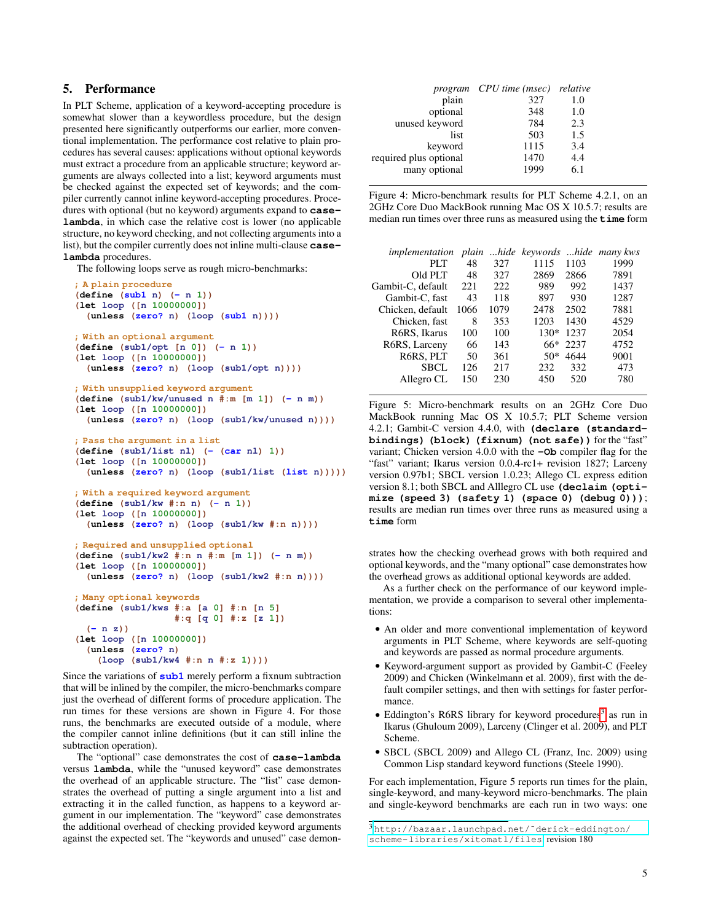# 5. Performance

In PLT Scheme, application of a keyword-accepting procedure is somewhat slower than a keywordless procedure, but the design presented here significantly outperforms our earlier, more conventional implementation. The performance cost relative to plain procedures has several causes: applications without optional keywords must extract a procedure from an applicable structure; keyword arguments are always collected into a list; keyword arguments must be checked against the expected set of keywords; and the compiler currently cannot inline keyword-accepting procedures. Procedures with optional (but no keyword) arguments expand to **caselambda**, in which case the relative cost is lower (no applicable structure, no keyword checking, and not collecting arguments into a list), but the compiler currently does not inline multi-clause **caselambda** procedures.

The following loops serve as rough micro-benchmarks:

```
; A plain procedure
(define (sub1 n) (- n 1))
(let loop ([n 10000000])
  (unless (zero? n) (loop (sub1 n))))
; With an optional argument
(define (sub1/opt [n 0]) (- n 1))
(let loop ([n 10000000])
  (unless (zero? n) (loop (sub1/opt n))))
; With unsupplied keyword argument
(define (sub1/kw/unused n #:m [m 1]) (- n m))
(let loop ([n 10000000])
  (unless (zero? n) (loop (sub1/kw/unused n))))
; Pass the argument in a list
(define (sub1/list nl) (- (car nl) 1))
(let loop ([n 10000000])
  (unless (zero? n) (loop (sub1/list (list n)))))
; With a required keyword argument
(define (sub1/kw #:n n) (- n 1))
(let loop ([n 10000000])
  (unless (zero? n) (loop (sub1/kw #:n n))))
; Required and unsupplied optional
(define (sub1/kw2 #:n n #:m [m 1]) (- n m))
(let loop ([n 10000000])
  (unless (zero? n) (loop (sub1/kw2 #:n n))))
; Many optional keywords
(define (sub1/kws #:a [a 0] #:n [n 5]
                  #:q [q 0] #:z [z 1])
  (- n z))
(let loop ([n 10000000])
```
**(unless (zero? n) (loop (sub1/kw4 #:n n #:z 1))))** Since the variations of **sub1** merely perform a fixnum subtraction that will be inlined by the compiler, the micro-benchmarks compare

just the overhead of different forms of procedure application. The run times for these versions are shown in Figure 4. For those runs, the benchmarks are executed outside of a module, where the compiler cannot inline definitions (but it can still inline the subtraction operation).

The "optional" case demonstrates the cost of **case-lambda** versus **lambda**, while the "unused keyword" case demonstrates the overhead of an applicable structure. The "list" case demonstrates the overhead of putting a single argument into a list and extracting it in the called function, as happens to a keyword argument in our implementation. The "keyword" case demonstrates the additional overhead of checking provided keyword arguments against the expected set. The "keywords and unused" case demon-

| program                | CPU time (msec) relative |     |
|------------------------|--------------------------|-----|
| plain                  | 327                      | 1.0 |
| optional               | 348                      | 1.0 |
| unused keyword         | 784                      | 2.3 |
| list                   | 503                      | 1.5 |
| keyword                | 1115                     | 3.4 |
| required plus optional | 1470                     | 4.4 |
| many optional          | 1999                     | 6.1 |

| Figure 4: Micro-benchmark results for PLT Scheme 4.2.1, on an           |
|-------------------------------------------------------------------------|
| 2GHz Core Duo MackBook running Mac OS X 10.5.7; results are             |
| median run times over three runs as measured using the <b>time</b> form |

| implementation    | plain |      | hide keywords |      | hide many kws |
|-------------------|-------|------|---------------|------|---------------|
| PLT               | 48    | 327  | 1115          | 1103 | 1999          |
| Old PLT           | 48    | 327  | 2869          | 2866 | 7891          |
| Gambit-C, default | 221   | 222  | 989           | 992  | 1437          |
| Gambit-C, fast    | 43    | 118  | 897           | 930  | 1287          |
| Chicken, default  | 1066  | 1079 | 2478          | 2502 | 7881          |
| Chicken, fast     | 8     | 353  | 1203          | 1430 | 4529          |
| R6RS, Ikarus      | 100   | 100  | $130*$        | 1237 | 2054          |
| R6RS, Larceny     | 66    | 143  | 66*           | 2237 | 4752          |
| R6RS, PLT         | 50    | 361  | $50*$         | 4644 | 9001          |
| <b>SBCL</b>       | 126   | 217  | 232           | 332  | 473           |
| Allegro CL        | 150   | 230  | 450           | 520  | 780           |
|                   |       |      |               |      |               |

Figure 5: Micro-benchmark results on an 2GHz Core Duo MackBook running Mac OS X 10.5.7; PLT Scheme version 4.2.1; Gambit-C version 4.4.0, with **(declare (standardbindings) (block) (fixnum) (not safe))** for the "fast" variant; Chicken version 4.0.0 with the **-Ob** compiler flag for the "fast" variant; Ikarus version 0.0.4-rc1+ revision 1827; Larceny version 0.97b1; SBCL version 1.0.23; Allego CL express edition version 8.1; both SBCL and Alllegro CL use **(declaim (optimize (speed 3) (safety 1) (space 0) (debug 0)))**; results are median run times over three runs as measured using a **time** form

strates how the checking overhead grows with both required and optional keywords, and the "many optional" case demonstrates how the overhead grows as additional optional keywords are added.

As a further check on the performance of our keyword implementation, we provide a comparison to several other implementations:

- An older and more conventional implementation of keyword arguments in PLT Scheme, where keywords are self-quoting and keywords are passed as normal procedure arguments.
- Keyword-argument support as provided by Gambit-C (Feeley 2009) and Chicken (Winkelmann et al. 2009), first with the default compiler settings, and then with settings for faster performance.
- Eddington's R6RS library for keyword procedures<sup>[3](#page-4-0)</sup> as run in Ikarus (Ghuloum 2009), Larceny (Clinger et al. 2009), and PLT Scheme.
- SBCL (SBCL 2009) and Allego CL (Franz, Inc. 2009) using Common Lisp standard keyword functions (Steele 1990).

For each implementation, Figure 5 reports run times for the plain, single-keyword, and many-keyword micro-benchmarks. The plain and single-keyword benchmarks are each run in two ways: one

<span id="page-4-0"></span><sup>3</sup> [http://bazaar.launchpad.net/˜derick-eddington/](http://bazaar.launchpad.net/~derick-eddington/scheme-libraries/xitomatl/files) [scheme-libraries/xitomatl/files](http://bazaar.launchpad.net/~derick-eddington/scheme-libraries/xitomatl/files), revision 180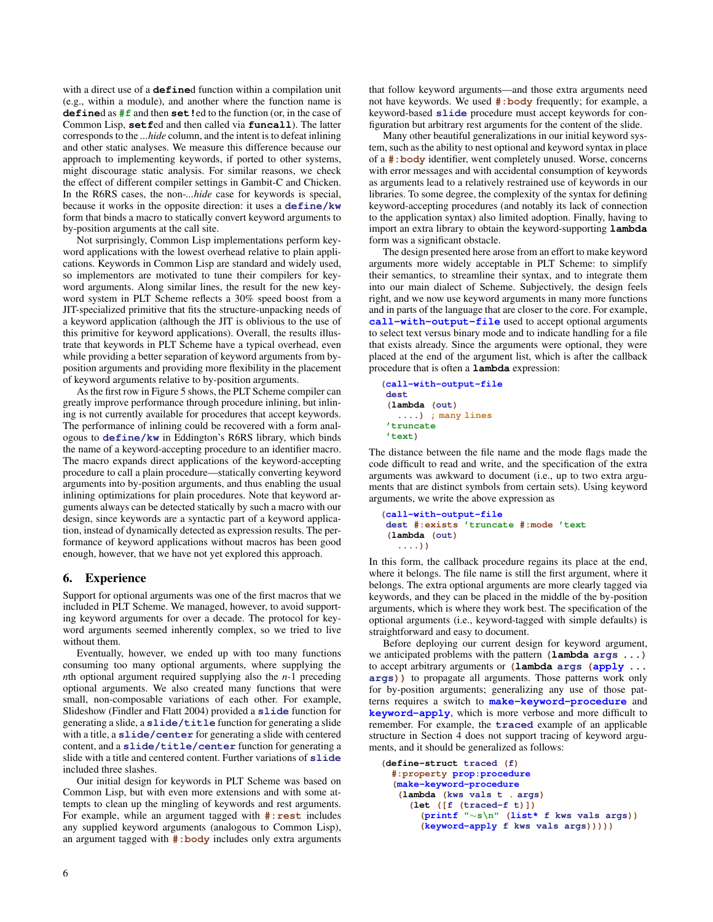with a direct use of a **define**d function within a compilation unit (e.g., within a module), and another where the function name is **define**d as **#f** and then **set!**ed to the function (or, in the case of Common Lisp, **setf**ed and then called via **funcall**). The latter corresponds to the *...hide* column, and the intent is to defeat inlining and other static analyses. We measure this difference because our approach to implementing keywords, if ported to other systems, might discourage static analysis. For similar reasons, we check the effect of different compiler settings in Gambit-C and Chicken. In the R6RS cases, the non-*...hide* case for keywords is special, because it works in the opposite direction: it uses a **define/kw** form that binds a macro to statically convert keyword arguments to by-position arguments at the call site.

Not surprisingly, Common Lisp implementations perform keyword applications with the lowest overhead relative to plain applications. Keywords in Common Lisp are standard and widely used, so implementors are motivated to tune their compilers for keyword arguments. Along similar lines, the result for the new keyword system in PLT Scheme reflects a 30% speed boost from a JIT-specialized primitive that fits the structure-unpacking needs of a keyword application (although the JIT is oblivious to the use of this primitive for keyword applications). Overall, the results illustrate that keywords in PLT Scheme have a typical overhead, even while providing a better separation of keyword arguments from byposition arguments and providing more flexibility in the placement of keyword arguments relative to by-position arguments.

As the first row in Figure 5 shows, the PLT Scheme compiler can greatly improve performance through procedure inlining, but inlining is not currently available for procedures that accept keywords. The performance of inlining could be recovered with a form analogous to **define/kw** in Eddington's R6RS library, which binds the name of a keyword-accepting procedure to an identifier macro. The macro expands direct applications of the keyword-accepting procedure to call a plain procedure—statically converting keyword arguments into by-position arguments, and thus enabling the usual inlining optimizations for plain procedures. Note that keyword arguments always can be detected statically by such a macro with our design, since keywords are a syntactic part of a keyword application, instead of dynamically detected as expression results. The performance of keyword applications without macros has been good enough, however, that we have not yet explored this approach.

## 6. Experience

Support for optional arguments was one of the first macros that we included in PLT Scheme. We managed, however, to avoid supporting keyword arguments for over a decade. The protocol for keyword arguments seemed inherently complex, so we tried to live without them.

Eventually, however, we ended up with too many functions consuming too many optional arguments, where supplying the *n*th optional argument required supplying also the *n-*1 preceding optional arguments. We also created many functions that were small, non-composable variations of each other. For example, Slideshow (Findler and Flatt 2004) provided a **slide** function for generating a slide, a **slide/title** function for generating a slide with a title, a **slide/center** for generating a slide with centered content, and a **slide/title/center** function for generating a slide with a title and centered content. Further variations of **slide** included three slashes.

Our initial design for keywords in PLT Scheme was based on Common Lisp, but with even more extensions and with some attempts to clean up the mingling of keywords and rest arguments. For example, while an argument tagged with **#:rest** includes any supplied keyword arguments (analogous to Common Lisp), an argument tagged with **#:body** includes only extra arguments that follow keyword arguments—and those extra arguments need not have keywords. We used **#:body** frequently; for example, a keyword-based **slide** procedure must accept keywords for configuration but arbitrary rest arguments for the content of the slide.

Many other beautiful generalizations in our initial keyword system, such as the ability to nest optional and keyword syntax in place of a **#:body** identifier, went completely unused. Worse, concerns with error messages and with accidental consumption of keywords as arguments lead to a relatively restrained use of keywords in our libraries. To some degree, the complexity of the syntax for defining keyword-accepting procedures (and notably its lack of connection to the application syntax) also limited adoption. Finally, having to import an extra library to obtain the keyword-supporting **lambda** form was a significant obstacle.

The design presented here arose from an effort to make keyword arguments more widely acceptable in PLT Scheme: to simplify their semantics, to streamline their syntax, and to integrate them into our main dialect of Scheme. Subjectively, the design feels right, and we now use keyword arguments in many more functions and in parts of the language that are closer to the core. For example, **call-with-output-file** used to accept optional arguments to select text versus binary mode and to indicate handling for a file that exists already. Since the arguments were optional, they were placed at the end of the argument list, which is after the callback procedure that is often a **lambda** expression:

```
(call-with-output-file
dest
(lambda (out)
  ....) ; many lines
'truncate
'text)
```
The distance between the file name and the mode flags made the code difficult to read and write, and the specification of the extra arguments was awkward to document (i.e., up to two extra arguments that are distinct symbols from certain sets). Using keyword arguments, we write the above expression as

```
(call-with-output-file
dest #:exists 'truncate #:mode 'text
(lambda (out)
  ....))
```
In this form, the callback procedure regains its place at the end, where it belongs. The file name is still the first argument, where it belongs. The extra optional arguments are more clearly tagged via keywords, and they can be placed in the middle of the by-position arguments, which is where they work best. The specification of the optional arguments (i.e., keyword-tagged with simple defaults) is straightforward and easy to document.

Before deploying our current design for keyword argument, we anticipated problems with the pattern **(lambda args ...)** to accept arbitrary arguments or **(lambda args (apply ... args))** to propagate all arguments. Those patterns work only for by-position arguments; generalizing any use of those patterns requires a switch to **make-keyword-procedure** and **keyword-apply**, which is more verbose and more difficult to remember. For example, the **traced** example of an applicable structure in Section 4 does not support tracing of keyword arguments, and it should be generalized as follows:

```
(define-struct traced (f)
 #:property prop:procedure
 (make-keyword-procedure
  (lambda (kws vals t . args)
    (let ([f (traced-f t)])
      (printf "∼s\n" (list* f kws vals args))
      (keyword-apply f kws vals args)))))
```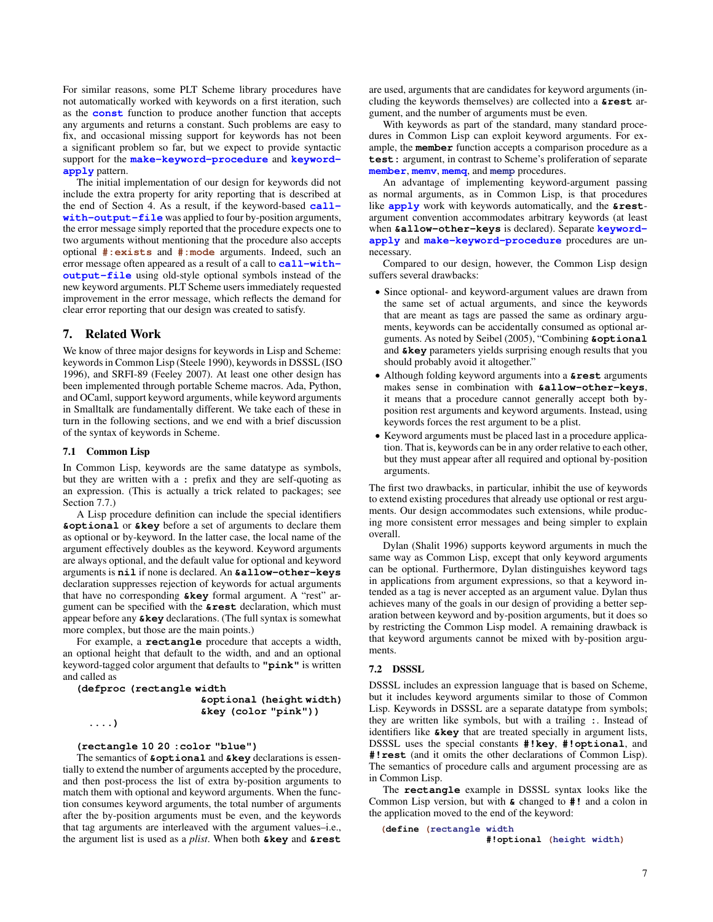For similar reasons, some PLT Scheme library procedures have not automatically worked with keywords on a first iteration, such as the **const** function to produce another function that accepts any arguments and returns a constant. Such problems are easy to fix, and occasional missing support for keywords has not been a significant problem so far, but we expect to provide syntactic support for the **make-keyword-procedure** and **keywordapply** pattern.

The initial implementation of our design for keywords did not include the extra property for arity reporting that is described at the end of Section 4. As a result, if the keyword-based **callwith-output-file** was applied to four by-position arguments, the error message simply reported that the procedure expects one to two arguments without mentioning that the procedure also accepts optional **#:exists** and **#:mode** arguments. Indeed, such an error message often appeared as a result of a call to **call-withoutput-file** using old-style optional symbols instead of the new keyword arguments. PLT Scheme users immediately requested improvement in the error message, which reflects the demand for clear error reporting that our design was created to satisfy.

## 7. Related Work

We know of three major designs for keywords in Lisp and Scheme: keywords in Common Lisp (Steele 1990), keywords in DSSSL (ISO 1996), and SRFI-89 (Feeley 2007). At least one other design has been implemented through portable Scheme macros. Ada, Python, and OCaml, support keyword arguments, while keyword arguments in Smalltalk are fundamentally different. We take each of these in turn in the following sections, and we end with a brief discussion of the syntax of keywords in Scheme.

#### 7.1 Common Lisp

In Common Lisp, keywords are the same datatype as symbols, but they are written with a **:** prefix and they are self-quoting as an expression. (This is actually a trick related to packages; see Section 7.7.)

A Lisp procedure definition can include the special identifiers **&optional** or **&key** before a set of arguments to declare them as optional or by-keyword. In the latter case, the local name of the argument effectively doubles as the keyword. Keyword arguments are always optional, and the default value for optional and keyword arguments is **nil** if none is declared. An **&allow-other-keys** declaration suppresses rejection of keywords for actual arguments that have no corresponding **&key** formal argument. A "rest" argument can be specified with the **&rest** declaration, which must appear before any **&key** declarations. (The full syntax is somewhat more complex, but those are the main points.)

For example, a **rectangle** procedure that accepts a width, an optional height that default to the width, and and an optional keyword-tagged color argument that defaults to **"pink"** is written and called as

**(defproc (rectangle width**

**&optional (height width) &key (color "pink"))**

#### **....)**

#### **(rectangle 10 20 :color "blue")**

The semantics of **&optional** and **&key** declarations is essentially to extend the number of arguments accepted by the procedure, and then post-process the list of extra by-position arguments to match them with optional and keyword arguments. When the function consumes keyword arguments, the total number of arguments after the by-position arguments must be even, and the keywords that tag arguments are interleaved with the argument values–i.e., the argument list is used as a *plist*. When both **&key** and **&rest**

are used, arguments that are candidates for keyword arguments (including the keywords themselves) are collected into a **&rest** argument, and the number of arguments must be even.

With keywords as part of the standard, many standard procedures in Common Lisp can exploit keyword arguments. For example, the **member** function accepts a comparison procedure as a **test:** argument, in contrast to Scheme's proliferation of separate **member**, **memv**, **memq**, and **memp** procedures.

An advantage of implementing keyword-argument passing as normal arguments, as in Common Lisp, is that procedures like **apply** work with keywords automatically, and the **&rest**argument convention accommodates arbitrary keywords (at least when **&allow-other-keys** is declared). Separate **keywordapply** and **make-keyword-procedure** procedures are unnecessary.

Compared to our design, however, the Common Lisp design suffers several drawbacks:

- Since optional- and keyword-argument values are drawn from the same set of actual arguments, and since the keywords that are meant as tags are passed the same as ordinary arguments, keywords can be accidentally consumed as optional arguments. As noted by Seibel (2005), "Combining **&optional** and **&key** parameters yields surprising enough results that you should probably avoid it altogether."
- Although folding keyword arguments into a **&rest** arguments makes sense in combination with **&allow-other-keys**, it means that a procedure cannot generally accept both byposition rest arguments and keyword arguments. Instead, using keywords forces the rest argument to be a plist.
- Keyword arguments must be placed last in a procedure application. That is, keywords can be in any order relative to each other, but they must appear after all required and optional by-position arguments.

The first two drawbacks, in particular, inhibit the use of keywords to extend existing procedures that already use optional or rest arguments. Our design accommodates such extensions, while producing more consistent error messages and being simpler to explain overall.

Dylan (Shalit 1996) supports keyword arguments in much the same way as Common Lisp, except that only keyword arguments can be optional. Furthermore, Dylan distinguishes keyword tags in applications from argument expressions, so that a keyword intended as a tag is never accepted as an argument value. Dylan thus achieves many of the goals in our design of providing a better separation between keyword and by-position arguments, but it does so by restricting the Common Lisp model. A remaining drawback is that keyword arguments cannot be mixed with by-position arguments.

## 7.2 DSSSL

DSSSL includes an expression language that is based on Scheme, but it includes keyword arguments similar to those of Common Lisp. Keywords in DSSSL are a separate datatype from symbols; they are written like symbols, but with a trailing **:**. Instead of identifiers like **&key** that are treated specially in argument lists, DSSSL uses the special constants **#!key**, **#!optional**, and **#!rest** (and it omits the other declarations of Common Lisp). The semantics of procedure calls and argument processing are as in Common Lisp.

The **rectangle** example in DSSSL syntax looks like the Common Lisp version, but with **&** changed to **#!** and a colon in the application moved to the end of the keyword:

**(define (rectangle width #!optional (height width)**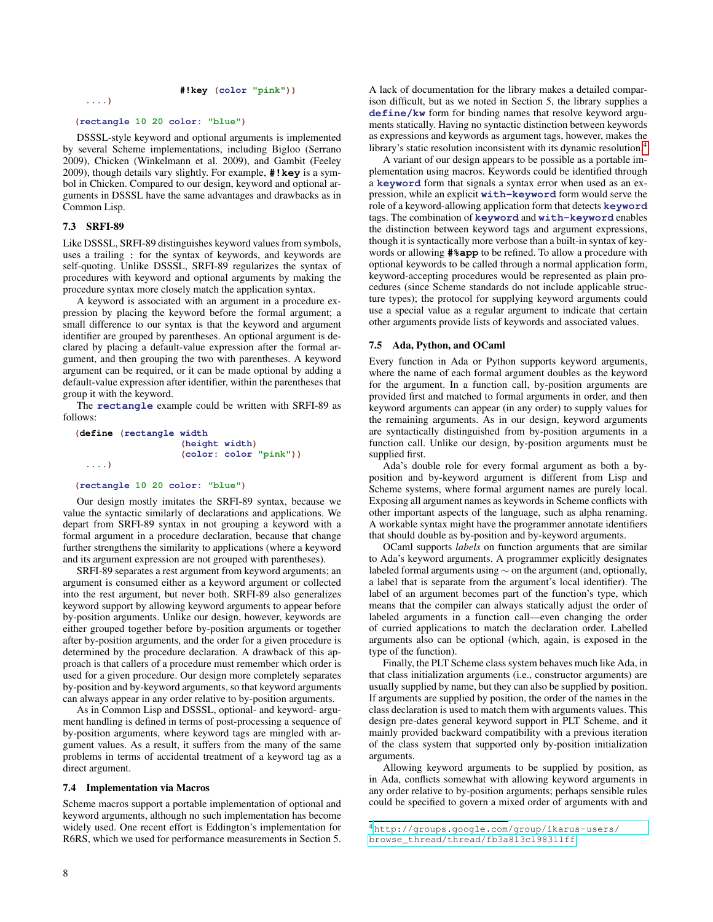**#!key (color "pink"))**

#### **(rectangle 10 20 color: "blue")**

DSSSL-style keyword and optional arguments is implemented by several Scheme implementations, including Bigloo (Serrano 2009), Chicken (Winkelmann et al. 2009), and Gambit (Feeley 2009), though details vary slightly. For example, **#!key** is a symbol in Chicken. Compared to our design, keyword and optional arguments in DSSSL have the same advantages and drawbacks as in Common Lisp.

#### 7.3 SRFI-89

**....)**

Like DSSSL, SRFI-89 distinguishes keyword values from symbols, uses a trailing **:** for the syntax of keywords, and keywords are self-quoting. Unlike DSSSL, SRFI-89 regularizes the syntax of procedures with keyword and optional arguments by making the procedure syntax more closely match the application syntax.

A keyword is associated with an argument in a procedure expression by placing the keyword before the formal argument; a small difference to our syntax is that the keyword and argument identifier are grouped by parentheses. An optional argument is declared by placing a default-value expression after the formal argument, and then grouping the two with parentheses. A keyword argument can be required, or it can be made optional by adding a default-value expression after identifier, within the parentheses that group it with the keyword.

The **rectangle** example could be written with SRFI-89 as follows:

```
(define (rectangle width
                    (height width)
                    (color: color "pink"))
 ....)
```
#### **(rectangle 10 20 color: "blue")**

Our design mostly imitates the SRFI-89 syntax, because we value the syntactic similarly of declarations and applications. We depart from SRFI-89 syntax in not grouping a keyword with a formal argument in a procedure declaration, because that change further strengthens the similarity to applications (where a keyword and its argument expression are not grouped with parentheses).

SRFI-89 separates a rest argument from keyword arguments; an argument is consumed either as a keyword argument or collected into the rest argument, but never both. SRFI-89 also generalizes keyword support by allowing keyword arguments to appear before by-position arguments. Unlike our design, however, keywords are either grouped together before by-position arguments or together after by-position arguments, and the order for a given procedure is determined by the procedure declaration. A drawback of this approach is that callers of a procedure must remember which order is used for a given procedure. Our design more completely separates by-position and by-keyword arguments, so that keyword arguments can always appear in any order relative to by-position arguments.

As in Common Lisp and DSSSL, optional- and keyword- argument handling is defined in terms of post-processing a sequence of by-position arguments, where keyword tags are mingled with argument values. As a result, it suffers from the many of the same problems in terms of accidental treatment of a keyword tag as a direct argument.

#### 7.4 Implementation via Macros

Scheme macros support a portable implementation of optional and keyword arguments, although no such implementation has become widely used. One recent effort is Eddington's implementation for R6RS, which we used for performance measurements in Section 5.

A lack of documentation for the library makes a detailed comparison difficult, but as we noted in Section 5, the library supplies a **define/kw** form for binding names that resolve keyword arguments statically. Having no syntactic distinction between keywords as expressions and keywords as argument tags, however, makes the library's static resolution inconsistent with its dynamic resolution.<sup>[4](#page-7-0)</sup>

A variant of our design appears to be possible as a portable implementation using macros. Keywords could be identified through a **keyword** form that signals a syntax error when used as an expression, while an explicit **with-keyword** form would serve the role of a keyword-allowing application form that detects **keyword** tags. The combination of **keyword** and **with-keyword** enables the distinction between keyword tags and argument expressions, though it is syntactically more verbose than a built-in syntax of keywords or allowing **#%app** to be refined. To allow a procedure with optional keywords to be called through a normal application form, keyword-accepting procedures would be represented as plain procedures (since Scheme standards do not include applicable structure types); the protocol for supplying keyword arguments could use a special value as a regular argument to indicate that certain other arguments provide lists of keywords and associated values.

#### 7.5 Ada, Python, and OCaml

Every function in Ada or Python supports keyword arguments, where the name of each formal argument doubles as the keyword for the argument. In a function call, by-position arguments are provided first and matched to formal arguments in order, and then keyword arguments can appear (in any order) to supply values for the remaining arguments. As in our design, keyword arguments are syntactically distinguished from by-position arguments in a function call. Unlike our design, by-position arguments must be supplied first.

Ada's double role for every formal argument as both a byposition and by-keyword argument is different from Lisp and Scheme systems, where formal argument names are purely local. Exposing all argument names as keywords in Scheme conflicts with other important aspects of the language, such as alpha renaming. A workable syntax might have the programmer annotate identifiers that should double as by-position and by-keyword arguments.

OCaml supports *labels* on function arguments that are similar to Ada's keyword arguments. A programmer explicitly designates labeled formal arguments using ∼ on the argument (and, optionally, a label that is separate from the argument's local identifier). The label of an argument becomes part of the function's type, which means that the compiler can always statically adjust the order of labeled arguments in a function call—even changing the order of curried applications to match the declaration order. Labelled arguments also can be optional (which, again, is exposed in the type of the function).

Finally, the PLT Scheme class system behaves much like Ada, in that class initialization arguments (i.e., constructor arguments) are usually supplied by name, but they can also be supplied by position. If arguments are supplied by position, the order of the names in the class declaration is used to match them with arguments values. This design pre-dates general keyword support in PLT Scheme, and it mainly provided backward compatibility with a previous iteration of the class system that supported only by-position initialization arguments.

Allowing keyword arguments to be supplied by position, as in Ada, conflicts somewhat with allowing keyword arguments in any order relative to by-position arguments; perhaps sensible rules could be specified to govern a mixed order of arguments with and

<span id="page-7-0"></span><sup>4</sup> [http://groups.google.com/group/ikarus-users/](http://groups.google.com/group/ikarus-users/browse_thread/thread/fb3a813c198311ff) [browse\\_thread/thread/fb3a813c198311ff](http://groups.google.com/group/ikarus-users/browse_thread/thread/fb3a813c198311ff)